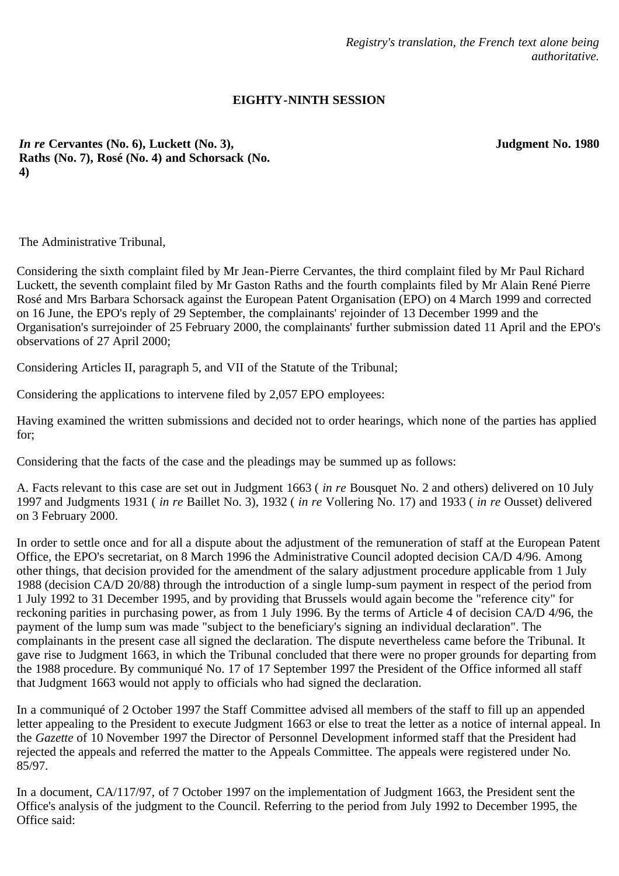*Registry's translation, the French text alone being authoritative.*

## **EIGHTY-NINTH SESSION**

**Judgment No. 1980**

*In re* **Cervantes (No. 6), Luckett (No. 3), Raths (No. 7), Rosé (No. 4) and Schorsack (No. 4)**

The Administrative Tribunal,

Considering the sixth complaint filed by Mr Jean-Pierre Cervantes, the third complaint filed by Mr Paul Richard Luckett, the seventh complaint filed by Mr Gaston Raths and the fourth complaints filed by Mr Alain René Pierre Rosé and Mrs Barbara Schorsack against the European Patent Organisation (EPO) on 4 March 1999 and corrected on 16 June, the EPO's reply of 29 September, the complainants' rejoinder of 13 December 1999 and the Organisation's surrejoinder of 25 February 2000, the complainants' further submission dated 11 April and the EPO's observations of 27 April 2000;

Considering Articles II, paragraph 5, and VII of the Statute of the Tribunal;

Considering the applications to intervene filed by 2,057 EPO employees:

Having examined the written submissions and decided not to order hearings, which none of the parties has applied for;

Considering that the facts of the case and the pleadings may be summed up as follows:

A. Facts relevant to this case are set out in Judgment 1663 ( *in re* Bousquet No. 2 and others) delivered on 10 July 1997 and Judgments 1931 ( *in re* Baillet No. 3), 1932 ( *in re* Vollering No. 17) and 1933 ( *in re* Ousset) delivered on 3 February 2000.

In order to settle once and for all a dispute about the adjustment of the remuneration of staff at the European Patent Office, the EPO's secretariat, on 8 March 1996 the Administrative Council adopted decision CA/D 4/96. Among other things, that decision provided for the amendment of the salary adjustment procedure applicable from 1 July 1988 (decision CA/D 20/88) through the introduction of a single lump-sum payment in respect of the period from 1 July 1992 to 31 December 1995, and by providing that Brussels would again become the "reference city" for reckoning parities in purchasing power, as from 1 July 1996. By the terms of Article 4 of decision CA/D 4/96, the payment of the lump sum was made "subject to the beneficiary's signing an individual declaration". The complainants in the present case all signed the declaration. The dispute nevertheless came before the Tribunal. It gave rise to Judgment 1663, in which the Tribunal concluded that there were no proper grounds for departing from the 1988 procedure. By communiqué No. 17 of 17 September 1997 the President of the Office informed all staff that Judgment 1663 would not apply to officials who had signed the declaration.

In a communiqué of 2 October 1997 the Staff Committee advised all members of the staff to fill up an appended letter appealing to the President to execute Judgment 1663 or else to treat the letter as a notice of internal appeal. In the *Gazette* of 10 November 1997 the Director of Personnel Development informed staff that the President had rejected the appeals and referred the matter to the Appeals Committee. The appeals were registered under No. 85/97.

In a document, CA/117/97, of 7 October 1997 on the implementation of Judgment 1663, the President sent the Office's analysis of the judgment to the Council. Referring to the period from July 1992 to December 1995, the Office said: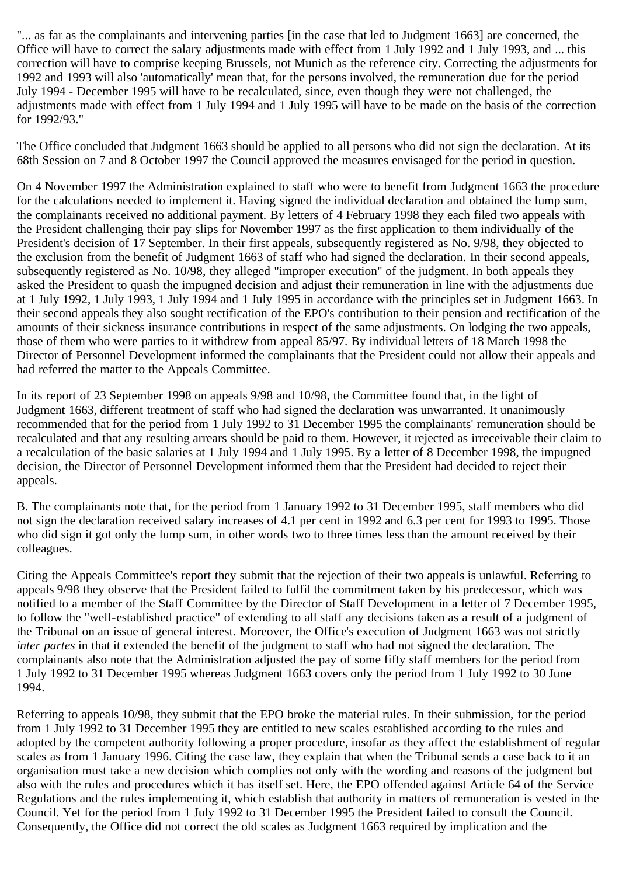"... as far as the complainants and intervening parties [in the case that led to Judgment 1663] are concerned, the Office will have to correct the salary adjustments made with effect from 1 July 1992 and 1 July 1993, and ... this correction will have to comprise keeping Brussels, not Munich as the reference city. Correcting the adjustments for 1992 and 1993 will also 'automatically' mean that, for the persons involved, the remuneration due for the period July 1994 - December 1995 will have to be recalculated, since, even though they were not challenged, the adjustments made with effect from 1 July 1994 and 1 July 1995 will have to be made on the basis of the correction for 1992/93."

The Office concluded that Judgment 1663 should be applied to all persons who did not sign the declaration. At its 68th Session on 7 and 8 October 1997 the Council approved the measures envisaged for the period in question.

On 4 November 1997 the Administration explained to staff who were to benefit from Judgment 1663 the procedure for the calculations needed to implement it. Having signed the individual declaration and obtained the lump sum, the complainants received no additional payment. By letters of 4 February 1998 they each filed two appeals with the President challenging their pay slips for November 1997 as the first application to them individually of the President's decision of 17 September. In their first appeals, subsequently registered as No. 9/98, they objected to the exclusion from the benefit of Judgment 1663 of staff who had signed the declaration. In their second appeals, subsequently registered as No. 10/98, they alleged "improper execution" of the judgment. In both appeals they asked the President to quash the impugned decision and adjust their remuneration in line with the adjustments due at 1 July 1992, 1 July 1993, 1 July 1994 and 1 July 1995 in accordance with the principles set in Judgment 1663. In their second appeals they also sought rectification of the EPO's contribution to their pension and rectification of the amounts of their sickness insurance contributions in respect of the same adjustments. On lodging the two appeals, those of them who were parties to it withdrew from appeal 85/97. By individual letters of 18 March 1998 the Director of Personnel Development informed the complainants that the President could not allow their appeals and had referred the matter to the Appeals Committee.

In its report of 23 September 1998 on appeals 9/98 and 10/98, the Committee found that, in the light of Judgment 1663, different treatment of staff who had signed the declaration was unwarranted. It unanimously recommended that for the period from 1 July 1992 to 31 December 1995 the complainants' remuneration should be recalculated and that any resulting arrears should be paid to them. However, it rejected as irreceivable their claim to a recalculation of the basic salaries at 1 July 1994 and 1 July 1995. By a letter of 8 December 1998, the impugned decision, the Director of Personnel Development informed them that the President had decided to reject their appeals.

B. The complainants note that, for the period from 1 January 1992 to 31 December 1995, staff members who did not sign the declaration received salary increases of 4.1 per cent in 1992 and 6.3 per cent for 1993 to 1995. Those who did sign it got only the lump sum, in other words two to three times less than the amount received by their colleagues.

Citing the Appeals Committee's report they submit that the rejection of their two appeals is unlawful. Referring to appeals 9/98 they observe that the President failed to fulfil the commitment taken by his predecessor, which was notified to a member of the Staff Committee by the Director of Staff Development in a letter of 7 December 1995, to follow the "well-established practice" of extending to all staff any decisions taken as a result of a judgment of the Tribunal on an issue of general interest. Moreover, the Office's execution of Judgment 1663 was not strictly *inter partes* in that it extended the benefit of the judgment to staff who had not signed the declaration. The complainants also note that the Administration adjusted the pay of some fifty staff members for the period from 1 July 1992 to 31 December 1995 whereas Judgment 1663 covers only the period from 1 July 1992 to 30 June 1994.

Referring to appeals 10/98, they submit that the EPO broke the material rules. In their submission, for the period from 1 July 1992 to 31 December 1995 they are entitled to new scales established according to the rules and adopted by the competent authority following a proper procedure, insofar as they affect the establishment of regular scales as from 1 January 1996. Citing the case law, they explain that when the Tribunal sends a case back to it an organisation must take a new decision which complies not only with the wording and reasons of the judgment but also with the rules and procedures which it has itself set. Here, the EPO offended against Article 64 of the Service Regulations and the rules implementing it, which establish that authority in matters of remuneration is vested in the Council. Yet for the period from 1 July 1992 to 31 December 1995 the President failed to consult the Council. Consequently, the Office did not correct the old scales as Judgment 1663 required by implication and the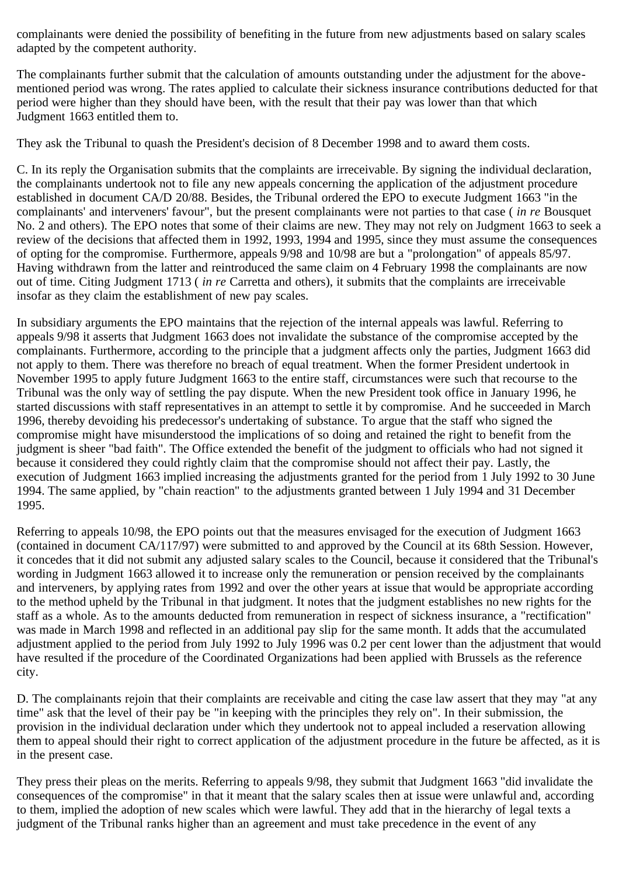complainants were denied the possibility of benefiting in the future from new adjustments based on salary scales adapted by the competent authority.

The complainants further submit that the calculation of amounts outstanding under the adjustment for the abovementioned period was wrong. The rates applied to calculate their sickness insurance contributions deducted for that period were higher than they should have been, with the result that their pay was lower than that which Judgment 1663 entitled them to.

They ask the Tribunal to quash the President's decision of 8 December 1998 and to award them costs.

C. In its reply the Organisation submits that the complaints are irreceivable. By signing the individual declaration, the complainants undertook not to file any new appeals concerning the application of the adjustment procedure established in document CA/D 20/88. Besides, the Tribunal ordered the EPO to execute Judgment 1663 "in the complainants' and interveners' favour", but the present complainants were not parties to that case ( *in re* Bousquet No. 2 and others). The EPO notes that some of their claims are new. They may not rely on Judgment 1663 to seek a review of the decisions that affected them in 1992, 1993, 1994 and 1995, since they must assume the consequences of opting for the compromise. Furthermore, appeals 9/98 and 10/98 are but a "prolongation" of appeals 85/97. Having withdrawn from the latter and reintroduced the same claim on 4 February 1998 the complainants are now out of time. Citing Judgment 1713 ( *in re* Carretta and others), it submits that the complaints are irreceivable insofar as they claim the establishment of new pay scales.

In subsidiary arguments the EPO maintains that the rejection of the internal appeals was lawful. Referring to appeals 9/98 it asserts that Judgment 1663 does not invalidate the substance of the compromise accepted by the complainants. Furthermore, according to the principle that a judgment affects only the parties, Judgment 1663 did not apply to them. There was therefore no breach of equal treatment. When the former President undertook in November 1995 to apply future Judgment 1663 to the entire staff, circumstances were such that recourse to the Tribunal was the only way of settling the pay dispute. When the new President took office in January 1996, he started discussions with staff representatives in an attempt to settle it by compromise. And he succeeded in March 1996, thereby devoiding his predecessor's undertaking of substance. To argue that the staff who signed the compromise might have misunderstood the implications of so doing and retained the right to benefit from the judgment is sheer "bad faith". The Office extended the benefit of the judgment to officials who had not signed it because it considered they could rightly claim that the compromise should not affect their pay. Lastly, the execution of Judgment 1663 implied increasing the adjustments granted for the period from 1 July 1992 to 30 June 1994. The same applied, by "chain reaction" to the adjustments granted between 1 July 1994 and 31 December 1995.

Referring to appeals 10/98, the EPO points out that the measures envisaged for the execution of Judgment 1663 (contained in document CA/117/97) were submitted to and approved by the Council at its 68th Session. However, it concedes that it did not submit any adjusted salary scales to the Council, because it considered that the Tribunal's wording in Judgment 1663 allowed it to increase only the remuneration or pension received by the complainants and interveners, by applying rates from 1992 and over the other years at issue that would be appropriate according to the method upheld by the Tribunal in that judgment. It notes that the judgment establishes no new rights for the staff as a whole. As to the amounts deducted from remuneration in respect of sickness insurance, a "rectification" was made in March 1998 and reflected in an additional pay slip for the same month. It adds that the accumulated adjustment applied to the period from July 1992 to July 1996 was 0.2 per cent lower than the adjustment that would have resulted if the procedure of the Coordinated Organizations had been applied with Brussels as the reference city.

D. The complainants rejoin that their complaints are receivable and citing the case law assert that they may "at any time" ask that the level of their pay be "in keeping with the principles they rely on". In their submission, the provision in the individual declaration under which they undertook not to appeal included a reservation allowing them to appeal should their right to correct application of the adjustment procedure in the future be affected, as it is in the present case.

They press their pleas on the merits. Referring to appeals 9/98, they submit that Judgment 1663 "did invalidate the consequences of the compromise" in that it meant that the salary scales then at issue were unlawful and, according to them, implied the adoption of new scales which were lawful. They add that in the hierarchy of legal texts a judgment of the Tribunal ranks higher than an agreement and must take precedence in the event of any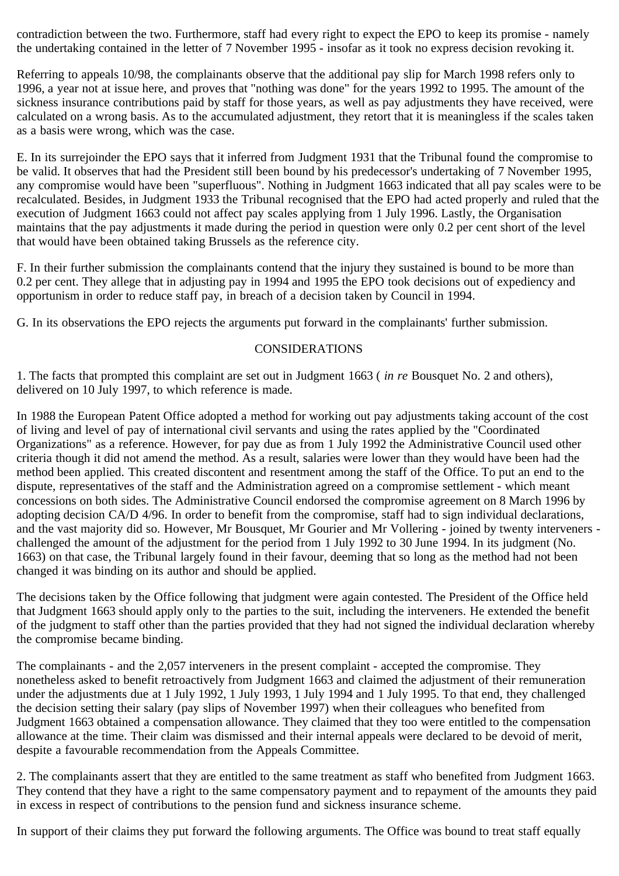contradiction between the two. Furthermore, staff had every right to expect the EPO to keep its promise - namely the undertaking contained in the letter of 7 November 1995 - insofar as it took no express decision revoking it.

Referring to appeals 10/98, the complainants observe that the additional pay slip for March 1998 refers only to 1996, a year not at issue here, and proves that "nothing was done" for the years 1992 to 1995. The amount of the sickness insurance contributions paid by staff for those years, as well as pay adjustments they have received, were calculated on a wrong basis. As to the accumulated adjustment, they retort that it is meaningless if the scales taken as a basis were wrong, which was the case.

E. In its surrejoinder the EPO says that it inferred from Judgment 1931 that the Tribunal found the compromise to be valid. It observes that had the President still been bound by his predecessor's undertaking of 7 November 1995, any compromise would have been "superfluous". Nothing in Judgment 1663 indicated that all pay scales were to be recalculated. Besides, in Judgment 1933 the Tribunal recognised that the EPO had acted properly and ruled that the execution of Judgment 1663 could not affect pay scales applying from 1 July 1996. Lastly, the Organisation maintains that the pay adjustments it made during the period in question were only 0.2 per cent short of the level that would have been obtained taking Brussels as the reference city.

F. In their further submission the complainants contend that the injury they sustained is bound to be more than 0.2 per cent. They allege that in adjusting pay in 1994 and 1995 the EPO took decisions out of expediency and opportunism in order to reduce staff pay, in breach of a decision taken by Council in 1994.

G. In its observations the EPO rejects the arguments put forward in the complainants' further submission.

## CONSIDERATIONS

1. The facts that prompted this complaint are set out in Judgment 1663 ( *in re* Bousquet No. 2 and others), delivered on 10 July 1997, to which reference is made.

In 1988 the European Patent Office adopted a method for working out pay adjustments taking account of the cost of living and level of pay of international civil servants and using the rates applied by the "Coordinated Organizations" as a reference. However, for pay due as from 1 July 1992 the Administrative Council used other criteria though it did not amend the method. As a result, salaries were lower than they would have been had the method been applied. This created discontent and resentment among the staff of the Office. To put an end to the dispute, representatives of the staff and the Administration agreed on a compromise settlement - which meant concessions on both sides. The Administrative Council endorsed the compromise agreement on 8 March 1996 by adopting decision CA/D 4/96. In order to benefit from the compromise, staff had to sign individual declarations, and the vast majority did so. However, Mr Bousquet, Mr Gourier and Mr Vollering - joined by twenty interveners challenged the amount of the adjustment for the period from 1 July 1992 to 30 June 1994. In its judgment (No. 1663) on that case, the Tribunal largely found in their favour, deeming that so long as the method had not been changed it was binding on its author and should be applied.

The decisions taken by the Office following that judgment were again contested. The President of the Office held that Judgment 1663 should apply only to the parties to the suit, including the interveners. He extended the benefit of the judgment to staff other than the parties provided that they had not signed the individual declaration whereby the compromise became binding.

The complainants - and the 2,057 interveners in the present complaint - accepted the compromise. They nonetheless asked to benefit retroactively from Judgment 1663 and claimed the adjustment of their remuneration under the adjustments due at 1 July 1992, 1 July 1993, 1 July 1994 and 1 July 1995. To that end, they challenged the decision setting their salary (pay slips of November 1997) when their colleagues who benefited from Judgment 1663 obtained a compensation allowance. They claimed that they too were entitled to the compensation allowance at the time. Their claim was dismissed and their internal appeals were declared to be devoid of merit, despite a favourable recommendation from the Appeals Committee.

2. The complainants assert that they are entitled to the same treatment as staff who benefited from Judgment 1663. They contend that they have a right to the same compensatory payment and to repayment of the amounts they paid in excess in respect of contributions to the pension fund and sickness insurance scheme.

In support of their claims they put forward the following arguments. The Office was bound to treat staff equally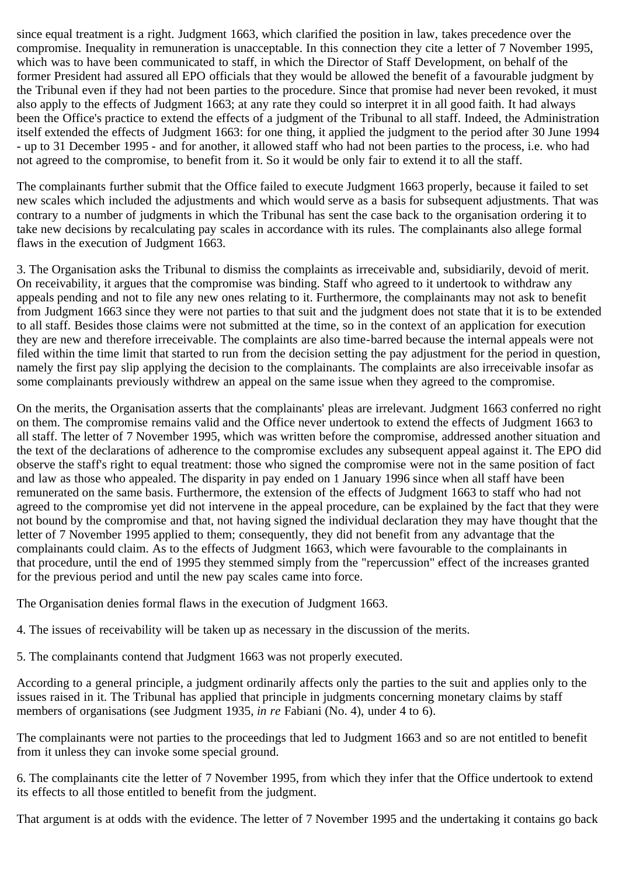since equal treatment is a right. Judgment 1663, which clarified the position in law, takes precedence over the compromise. Inequality in remuneration is unacceptable. In this connection they cite a letter of 7 November 1995, which was to have been communicated to staff, in which the Director of Staff Development, on behalf of the former President had assured all EPO officials that they would be allowed the benefit of a favourable judgment by the Tribunal even if they had not been parties to the procedure. Since that promise had never been revoked, it must also apply to the effects of Judgment 1663; at any rate they could so interpret it in all good faith. It had always been the Office's practice to extend the effects of a judgment of the Tribunal to all staff. Indeed, the Administration itself extended the effects of Judgment 1663: for one thing, it applied the judgment to the period after 30 June 1994 - up to 31 December 1995 - and for another, it allowed staff who had not been parties to the process, i.e. who had not agreed to the compromise, to benefit from it. So it would be only fair to extend it to all the staff.

The complainants further submit that the Office failed to execute Judgment 1663 properly, because it failed to set new scales which included the adjustments and which would serve as a basis for subsequent adjustments. That was contrary to a number of judgments in which the Tribunal has sent the case back to the organisation ordering it to take new decisions by recalculating pay scales in accordance with its rules. The complainants also allege formal flaws in the execution of Judgment 1663.

3. The Organisation asks the Tribunal to dismiss the complaints as irreceivable and, subsidiarily, devoid of merit. On receivability, it argues that the compromise was binding. Staff who agreed to it undertook to withdraw any appeals pending and not to file any new ones relating to it. Furthermore, the complainants may not ask to benefit from Judgment 1663 since they were not parties to that suit and the judgment does not state that it is to be extended to all staff. Besides those claims were not submitted at the time, so in the context of an application for execution they are new and therefore irreceivable. The complaints are also time-barred because the internal appeals were not filed within the time limit that started to run from the decision setting the pay adjustment for the period in question, namely the first pay slip applying the decision to the complainants. The complaints are also irreceivable insofar as some complainants previously withdrew an appeal on the same issue when they agreed to the compromise.

On the merits, the Organisation asserts that the complainants' pleas are irrelevant. Judgment 1663 conferred no right on them. The compromise remains valid and the Office never undertook to extend the effects of Judgment 1663 to all staff. The letter of 7 November 1995, which was written before the compromise, addressed another situation and the text of the declarations of adherence to the compromise excludes any subsequent appeal against it. The EPO did observe the staff's right to equal treatment: those who signed the compromise were not in the same position of fact and law as those who appealed. The disparity in pay ended on 1 January 1996 since when all staff have been remunerated on the same basis. Furthermore, the extension of the effects of Judgment 1663 to staff who had not agreed to the compromise yet did not intervene in the appeal procedure, can be explained by the fact that they were not bound by the compromise and that, not having signed the individual declaration they may have thought that the letter of 7 November 1995 applied to them; consequently, they did not benefit from any advantage that the complainants could claim. As to the effects of Judgment 1663, which were favourable to the complainants in that procedure, until the end of 1995 they stemmed simply from the "repercussion" effect of the increases granted for the previous period and until the new pay scales came into force.

The Organisation denies formal flaws in the execution of Judgment 1663.

4. The issues of receivability will be taken up as necessary in the discussion of the merits.

5. The complainants contend that Judgment 1663 was not properly executed.

According to a general principle, a judgment ordinarily affects only the parties to the suit and applies only to the issues raised in it. The Tribunal has applied that principle in judgments concerning monetary claims by staff members of organisations (see Judgment 1935, *in re* Fabiani (No. 4), under 4 to 6).

The complainants were not parties to the proceedings that led to Judgment 1663 and so are not entitled to benefit from it unless they can invoke some special ground.

6. The complainants cite the letter of 7 November 1995, from which they infer that the Office undertook to extend its effects to all those entitled to benefit from the judgment.

That argument is at odds with the evidence. The letter of 7 November 1995 and the undertaking it contains go back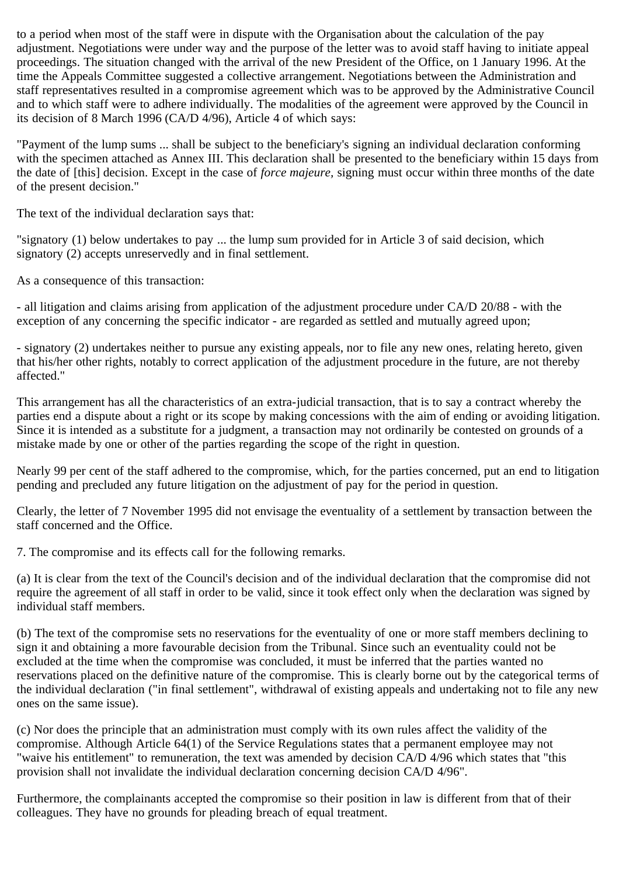to a period when most of the staff were in dispute with the Organisation about the calculation of the pay adjustment. Negotiations were under way and the purpose of the letter was to avoid staff having to initiate appeal proceedings. The situation changed with the arrival of the new President of the Office, on 1 January 1996. At the time the Appeals Committee suggested a collective arrangement. Negotiations between the Administration and staff representatives resulted in a compromise agreement which was to be approved by the Administrative Council and to which staff were to adhere individually. The modalities of the agreement were approved by the Council in its decision of 8 March 1996 (CA/D 4/96), Article 4 of which says:

"Payment of the lump sums ... shall be subject to the beneficiary's signing an individual declaration conforming with the specimen attached as Annex III. This declaration shall be presented to the beneficiary within 15 days from the date of [this] decision. Except in the case of *force majeure,* signing must occur within three months of the date of the present decision."

The text of the individual declaration says that:

"signatory (1) below undertakes to pay ... the lump sum provided for in Article 3 of said decision, which signatory (2) accepts unreservedly and in final settlement.

As a consequence of this transaction:

- all litigation and claims arising from application of the adjustment procedure under CA/D 20/88 - with the exception of any concerning the specific indicator - are regarded as settled and mutually agreed upon;

- signatory (2) undertakes neither to pursue any existing appeals, nor to file any new ones, relating hereto, given that his/her other rights, notably to correct application of the adjustment procedure in the future, are not thereby affected."

This arrangement has all the characteristics of an extra-judicial transaction, that is to say a contract whereby the parties end a dispute about a right or its scope by making concessions with the aim of ending or avoiding litigation. Since it is intended as a substitute for a judgment, a transaction may not ordinarily be contested on grounds of a mistake made by one or other of the parties regarding the scope of the right in question.

Nearly 99 per cent of the staff adhered to the compromise, which, for the parties concerned, put an end to litigation pending and precluded any future litigation on the adjustment of pay for the period in question.

Clearly, the letter of 7 November 1995 did not envisage the eventuality of a settlement by transaction between the staff concerned and the Office.

7. The compromise and its effects call for the following remarks.

(a) It is clear from the text of the Council's decision and of the individual declaration that the compromise did not require the agreement of all staff in order to be valid, since it took effect only when the declaration was signed by individual staff members.

(b) The text of the compromise sets no reservations for the eventuality of one or more staff members declining to sign it and obtaining a more favourable decision from the Tribunal. Since such an eventuality could not be excluded at the time when the compromise was concluded, it must be inferred that the parties wanted no reservations placed on the definitive nature of the compromise. This is clearly borne out by the categorical terms of the individual declaration ("in final settlement", withdrawal of existing appeals and undertaking not to file any new ones on the same issue).

(c) Nor does the principle that an administration must comply with its own rules affect the validity of the compromise. Although Article 64(1) of the Service Regulations states that a permanent employee may not "waive his entitlement" to remuneration, the text was amended by decision CA/D 4/96 which states that "this provision shall not invalidate the individual declaration concerning decision CA/D 4/96".

Furthermore, the complainants accepted the compromise so their position in law is different from that of their colleagues. They have no grounds for pleading breach of equal treatment.